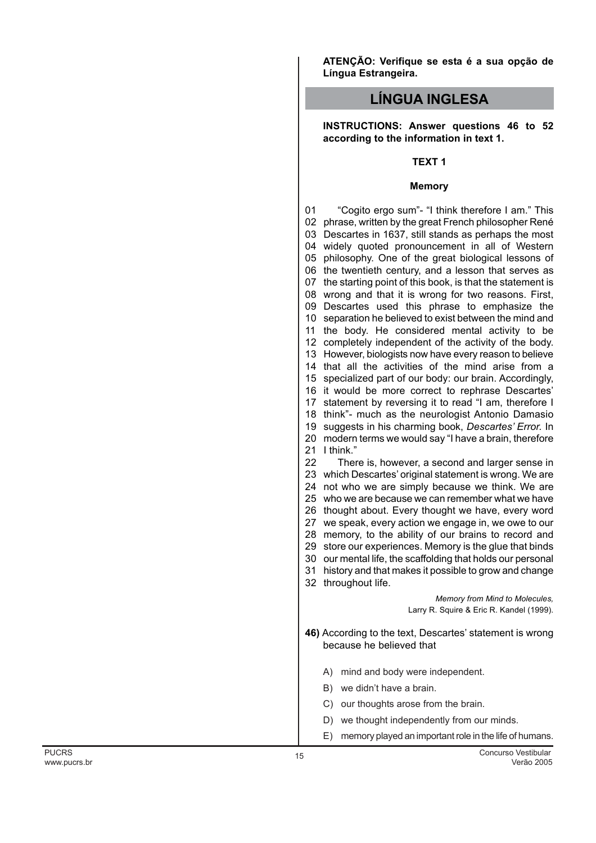**ATENÇÃO: Verifique se esta é a sua opção de Língua Estrangeira.**

# **LÍNGUA INGLESA**

**INSTRUCTIONS: Answer questions 46 to 52 according to the information in text 1.**

# **TEXT 1**

#### **Memory**

 phrase, written by the great French philosopher René Descartes in 1637, still stands as perhaps the most widely quoted pronouncement in all of Western philosophy. One of the great biological lessons of the twentieth century, and a lesson that serves as the starting point of this book, is that the statement is wrong and that it is wrong for two reasons. First, Descartes used this phrase to emphasize the separation he believed to exist between the mind and the body. He considered mental activity to be completely independent of the activity of the body. However, biologists now have every reason to believe that all the activities of the mind arise from a specialized part of our body: our brain. Accordingly, it would be more correct to rephrase Descartes' statement by reversing it to read "I am, therefore I think"- much as the neurologist Antonio Damasio suggests in his charming book, *Descartes' Error.* In modern terms we would say "I have a brain, therefore I think." which Descartes' original statement is wrong. We are not who we are simply because we think. We are who we are because we can remember what we have thought about. Every thought we have, every word we speak, every action we engage in, we owe to our memory, to the ability of our brains to record and store our experiences. Memory is the glue that binds our mental life, the scaffolding that holds our personal history and that makes it possible to grow and change throughout life. **46)** According to the text, Descartes' statement is wrong because he believed that A) mind and body were independent. B) we didn't have a brain. C) our thoughts arose from the brain. D) we thought independently from our minds. "Cogito ergo sum"- "I think therefore I am." This There is, however, a second and larger sense in *Memory from Mind to Molecules,* Larry R. Squire & Eric R. Kandel (1999).

E) memory played an important role in the life of humans.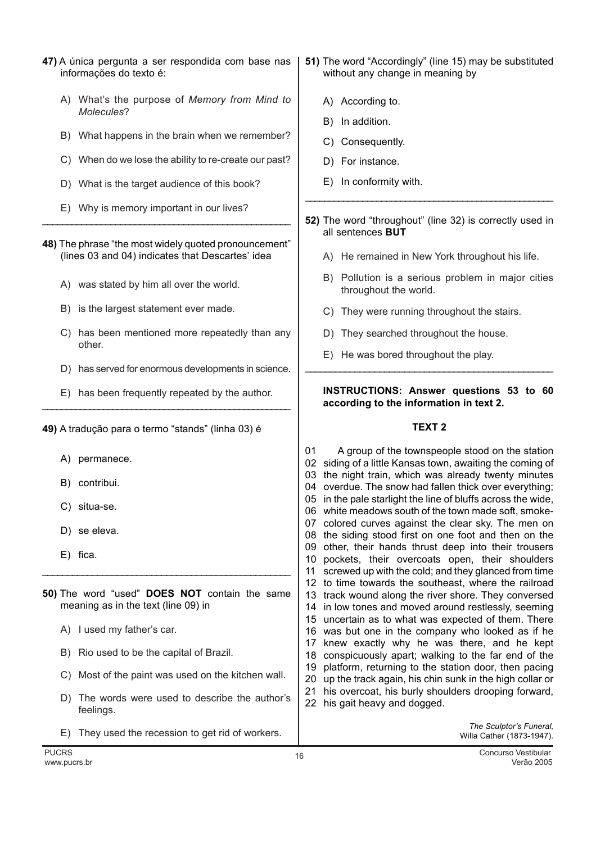- 47) A única pergunta a ser respondida com base nas informações do texto é:
	- A) What's the purpose of Memory from Mind to Molecules?
	- B) What happens in the brain when we remember?
	- C) When do we lose the ability to re-create our past?
	- D) What is the target audience of this book?
	- E) Why is memory important in our lives?
- 48) The phrase "the most widely quoted pronouncement" (lines 03 and 04) indicates that Descartes' idea
	- A) was stated by him all over the world.
	- B) is the largest statement ever made.
	- C) has been mentioned more repeatedly than any other.
	- D) has served for enormous developments in science.
	- E) has been frequently repeated by the author.

49) A tradução para o termo "stands" (linha 03) é

- A) permanece.
- B) contribui.
- C) situa-se.
- D) se eleva.
- E) fica.
- 50) The word "used" DOES NOT contain the same meaning as in the text (line 09) in
	- A) I used my father's car.
	- B) Rio used to be the capital of Brazil.
	- C) Most of the paint was used on the kitchen wall.
	- D) The words were used to describe the author's feelings.
	- E) They used the recession to get rid of workers.
- 51) The word "Accordingly" (line 15) may be substituted without any change in meaning by
	- A) According to.
	- B) In addition.
	- C) Consequently.
	- D) For instance.
	- E) In conformity with.
- 52) The word "throughout" (line 32) is correctly used in all sentences **BUT** 
	- A) He remained in New York throughout his life.
	- B) Pollution is a serious problem in major cities throughout the world.
	- C) They were running throughout the stairs.
	- D) They searched throughout the house.
	- E) He was bored throughout the play.

## **INSTRUCTIONS: Answer questions 53 to 60** according to the information in text 2.

## **TEXT 2**

A group of the townspeople stood on the station 01 02 siding of a little Kansas town, awaiting the coming of 03 the night train, which was already twenty minutes 04 overdue. The snow had fallen thick over everything; 05 in the pale starlight the line of bluffs across the wide, 06 white meadows south of the town made soft, smoke-07 colored curves against the clear sky. The men on 08 the siding stood first on one foot and then on the 09 other, their hands thrust deep into their trousers 10 pockets, their overcoats open, their shoulders 11 screwed up with the cold; and they glanced from time 12 to time towards the southeast, where the railroad 13 track wound along the river shore. They conversed 14 in low tones and moved around restlessly, seeming 15 uncertain as to what was expected of them. There 16 was but one in the company who looked as if he 17 knew exactly why he was there, and he kept 18 conspicuously apart; walking to the far end of the 19 platform, returning to the station door, then pacing 20 up the track again, his chin sunk in the high collar or 21 his overcoat, his burly shoulders drooping forward, 22 his gait heavy and dogged.

> The Sculptor's Funeral, Willa Cather (1873-1947).